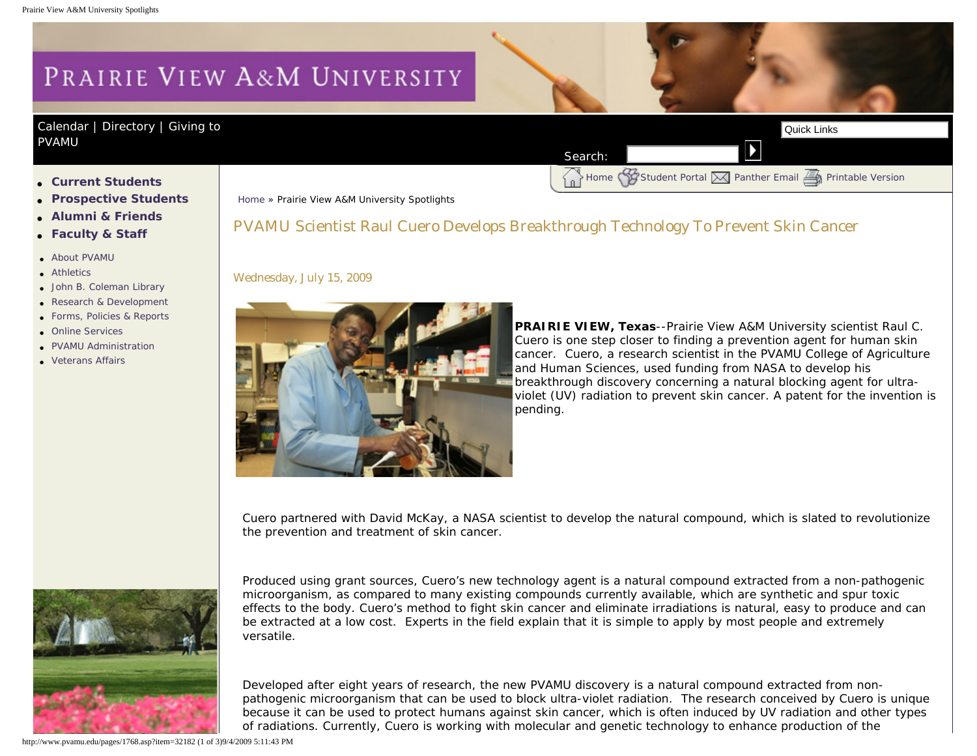## PRAIRIE VIEW A&M UNIVERSITY

## [Calendar](http://www.pvamu.edu/pages/105.asp) | [Directory](http://www.pvamu.edu/pages/225.asp) | Giving to [PVAMU](http://www.pvamu.edu/giving)

- ● **[Current Students](http://www.pvamu.edu/pages/106.asp)**
- ● **[Prospective Students](http://www.pvamu.edu/pages/113.asp)**
- ● **[Alumni & Friends](http://www.pvamu.edu/pages/103.asp)**
- ● **[Faculty & Staff](http://www.pvamu.edu/pages/107.asp)**
- [About PVAMU](http://www.pvamu.edu/pages/119.asp)
- **[Athletics](http://www.pvamu.edu/pages/104.asp)**
- [John B. Coleman Library](http://www.pvamu.edu/pages/3585.asp)
- [Research & Development](http://www.pvamu.edu/pages/108.asp)
- [Forms, Policies & Reports](http://www.pvamu.edu/pages/5302.asp)
- [Online Services](http://www.pvamu.edu/pages/109.asp)
- **[PVAMU Administration](http://www.pvamu.edu/pages/5303.asp)**
- [Veterans Affairs](http://www.pvamu.edu/pages/4721.asp)

[Home](http://www.pvamu.edu/pages/1.asp) » Prairie View A&M University Spotlights

## PVAMU Scientist Raul Cuero Develops Breakthrough Technology To Prevent Skin Cancer

Search:

Wednesday, July 15, 2009



**PRAIRIE VIEW, Texas**--Prairie View A&M University scientist Raul C. Cuero is one step closer to finding a prevention agent for human skin cancer. Cuero, a research scientist in the PVAMU College of Agriculture and Human Sciences, used funding from NASA to develop his breakthrough discovery concerning a natural blocking agent for ultraviolet (UV) radiation to prevent skin cancer. A patent for the invention is pending.

Home [Student Portal](http://panthertracks.pvamu.edu/) [Panther Email](http://www.pvamu.edu/pages/1740.asp) [Printable Version](http://www.pvamu.edu/print/1768.asp)

Cuero partnered with David McKay, a NASA scientist to develop the natural compound, which is slated to revolutionize the prevention and treatment of skin cancer.



Produced using grant sources, Cuero's new technology agent is a natural compound extracted from a non-pathogenic microorganism, as compared to many existing compounds currently available, which are synthetic and spur toxic effects to the body. Cuero's method to fight skin cancer and eliminate irradiations is natural, easy to produce and can be extracted at a low cost. Experts in the field explain that it is simple to apply by most people and extremely versatile.

Developed after eight years of research, the new PVAMU discovery is a natural compound extracted from nonpathogenic microorganism that can be used to block ultra-violet radiation. The research conceived by Cuero is unique because it can be used to protect humans against skin cancer, which is often induced by UV radiation and other types of radiations. Currently, Cuero is working with molecular and genetic technology to enhance production of the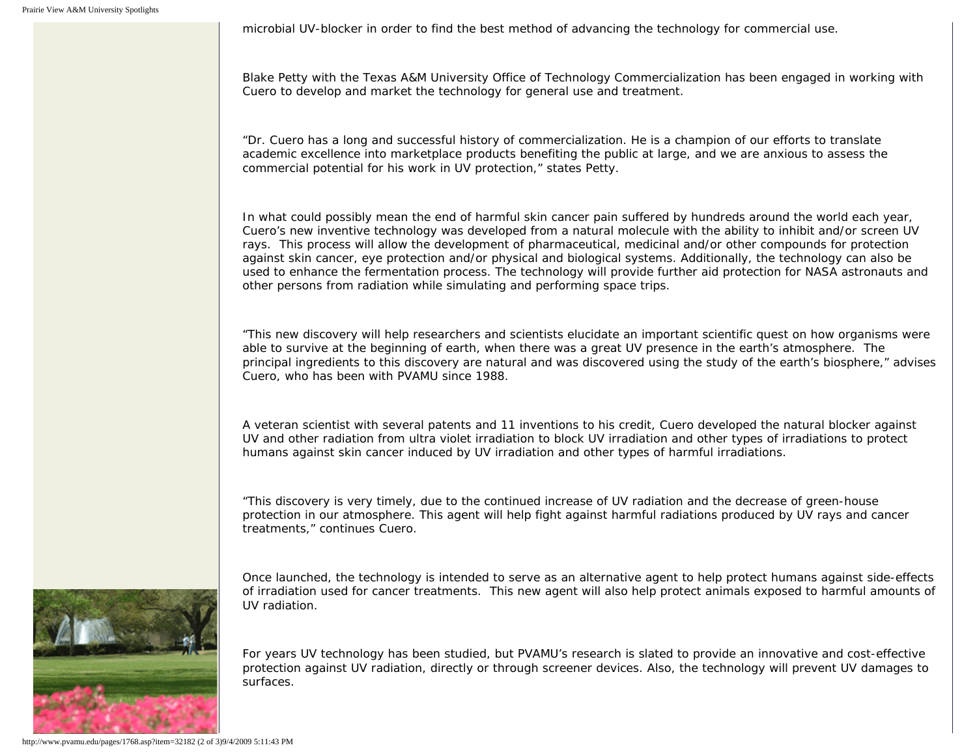microbial UV-blocker in order to find the best method of advancing the technology for commercial use.

Blake Petty with the Texas A&M University Office of Technology Commercialization has been engaged in working with Cuero to develop and market the technology for general use and treatment.

"Dr. Cuero has a long and successful history of commercialization. He is a champion of our efforts to translate academic excellence into marketplace products benefiting the public at large, and we are anxious to assess the commercial potential for his work in UV protection," states Petty.

In what could possibly mean the end of harmful skin cancer pain suffered by hundreds around the world each year, Cuero's new inventive technology was developed from a natural molecule with the ability to inhibit and/or screen UV rays. This process will allow the development of pharmaceutical, medicinal and/or other compounds for protection against skin cancer, eye protection and/or physical and biological systems. Additionally, the technology can also be used to enhance the fermentation process. The technology will provide further aid protection for NASA astronauts and other persons from radiation while simulating and performing space trips.

"This new discovery will help researchers and scientists elucidate an important scientific quest on how organisms were able to survive at the beginning of earth, when there was a great UV presence in the earth's atmosphere. The principal ingredients to this discovery are natural and was discovered using the study of the earth's biosphere," advises Cuero, who has been with PVAMU since 1988.

A veteran scientist with several patents and 11 inventions to his credit, Cuero developed the natural blocker against UV and other radiation from ultra violet irradiation to block UV irradiation and other types of irradiations to protect humans against skin cancer induced by UV irradiation and other types of harmful irradiations.

"This discovery is very timely, due to the continued increase of UV radiation and the decrease of green-house protection in our atmosphere. This agent will help fight against harmful radiations produced by UV rays and cancer treatments," continues Cuero.





UV radiation.

For years UV technology has been studied, but PVAMU's research is slated to provide an innovative and cost-effective protection against UV radiation, directly or through screener devices. Also, the technology will prevent UV damages to surfaces.

http://www.pvamu.edu/pages/1768.asp?item=32182 (2 of 3)9/4/2009 5:11:43 PM